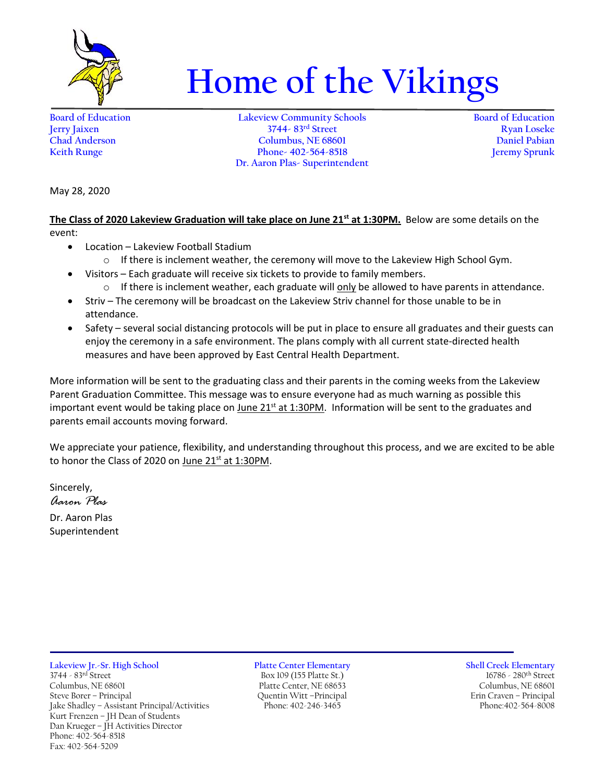

## **Home of the Vikings**

**Board of Education Lakeview Community Schools Board of Education Jerry Jaixen 3744- 83rd Street Ryan Loseke Chad Anderson Columbus, NE 68601 Daniel Pabian Keith Runge Phone- 402-564-8518 Dr. Aaron Plas- Superintendent**

May 28, 2020

**The Class of 2020 Lakeview Graduation will take place on June 21st at 1:30PM.** Below are some details on the event:

- Location Lakeview Football Stadium
	- $\circ$  If there is inclement weather, the ceremony will move to the Lakeview High School Gym.
	- Visitors Each graduate will receive six tickets to provide to family members.
		- $\circ$  If there is inclement weather, each graduate will only be allowed to have parents in attendance.
- Striv The ceremony will be broadcast on the Lakeview Striv channel for those unable to be in attendance.
- Safety several social distancing protocols will be put in place to ensure all graduates and their guests can enjoy the ceremony in a safe environment. The plans comply with all current state-directed health measures and have been approved by East Central Health Department.

More information will be sent to the graduating class and their parents in the coming weeks from the Lakeview Parent Graduation Committee. This message was to ensure everyone had as much warning as possible this important event would be taking place on June  $21<sup>st</sup>$  at 1:30PM. Information will be sent to the graduates and parents email accounts moving forward.

We appreciate your patience, flexibility, and understanding throughout this process, and we are excited to be able to honor the Class of 2020 on June 21<sup>st</sup> at 1:30PM.

Sincerely, *Aaron Plas* Dr. Aaron Plas Superintendent

**Lakeview Jr.-Sr. High School Platte Center Elementary Shell Creek Elementary** 3744 - 83<sup>rd</sup> Street Box 109 (155 Platte St.) 16786 - 280<sup>th</sup> Street Columbus, NE 68601 Platte Center, NE 68653 Columbus, NE 68601 Jake Shadley - Assistant Principal/Activities Kurt Frenzen – JH Dean of Students Dan Krueger – JH Activities Director Phone: 402-564-8518 Fax: 402-564-5209

Steve Borer – Principal Quentin Witt –Principal Erin Craven – Principal